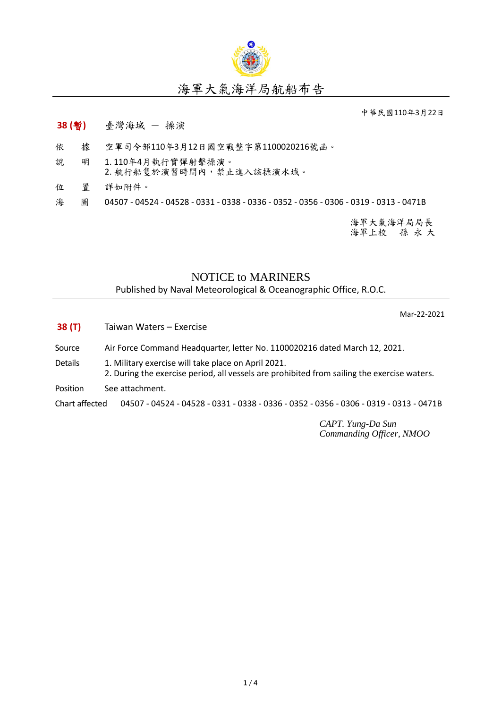

## 海軍大氣海洋局航船布告

中華民國110年3月22日

- **38 (**暫**)** 臺灣海域 操演
- 依 據 空軍司令部110年3月12日國空戰整字第1100020216號函。
- 說 明 1. 110年4月執行實彈射擊操演。 2. 航行船隻於演習時間內,禁止進入該操演水域。
- 位 置 詳如附件。
- 海 圖 04507 04524 04528 0331 0338 0336 0352 0356 0306 0319 0313 0471B

海軍大氣海洋局局長 海軍上校 孫 永 大

## NOTICE to MARINERS

Published by Naval Meteorological & Oceanographic Office, R.O.C.

Mar-22-2021

- **38 (T)** Taiwan Waters Exercise
- Source Air Force Command Headquarter, letter No. 1100020216 dated March 12, 2021.
- Details 1. Military exercise will take place on April 2021. 2. During the exercise period, all vessels are prohibited from sailing the exercise waters.
- Position See attachment.

Chart affected 04507 - 04524 - 04528 - 0331 - 0338 - 0336 - 0352 - 0356 - 0306 - 0319 - 0313 - 0471B

*CAPT. Yung-Da Sun Commanding Officer, NMOO*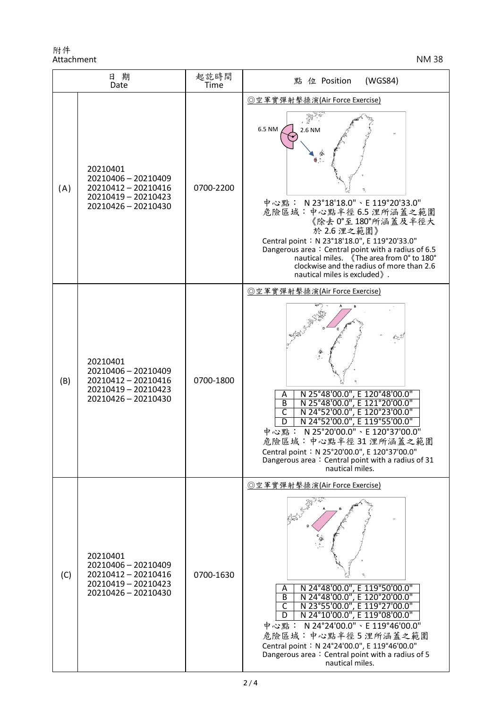附件 Attachment NM 38

| 日期<br>Date |                                                                                                      | 起訖時間<br><b>Time</b> | (WGS84)<br>點<br>位 Position                                                                                                                                                                                                                                                                                                                                                                      |
|------------|------------------------------------------------------------------------------------------------------|---------------------|-------------------------------------------------------------------------------------------------------------------------------------------------------------------------------------------------------------------------------------------------------------------------------------------------------------------------------------------------------------------------------------------------|
| (A)        | 20210401<br>20210406 - 20210409<br>20210412 - 20210416<br>20210419 - 20210423<br>20210426 - 20210430 | 0700-2200           | ◎空軍實彈射擊操演(Air Force Exercise)<br>6.5 NM<br>2.6 NM<br>中心點: N23°18'18.0"、E 119°20'33.0"<br>危險區域:中心點半徑6.5 浬所涵蓋之範圍<br>《除去 0°至180°所涵蓋及半徑大<br>於 2.6 浬之範圍》<br>Central point: N 23°18'18.0", E 119°20'33.0"<br>Dangerous area: Central point with a radius of 6.5<br>nautical miles. 《The area from 0° to 180°<br>clockwise and the radius of more than 2.6<br>nautical miles is excluded ».            |
| (B)        | 20210401<br>20210406 - 20210409<br>20210412 - 20210416<br>20210419 - 20210423<br>20210426 - 20210430 | 0700-1800           | ◎空軍實彈射擊操演(Air Force Exercise)<br>N 25°48'00.0", E 120°48'00.0"<br>Α<br>N 25°48'00.0", E 121°20'00.0"<br>B<br>N 24°52'00.0", E 120°23'00.0"<br>$\overline{\mathsf{c}}$<br>N 24°52'00.0", E 119°55'00.0"<br>D<br>中心點: N 25°20'00.0"、E 120°37'00.0"<br>危險區域:中心點半徑31浬所涵蓋之範圍<br>Central point: N 25°20'00.0", E 120°37'00.0"<br>Dangerous area: Central point with a radius of 31<br>nautical miles. |
| (C)        | 20210401<br>20210406 - 20210409<br>20210412 - 20210416<br>20210419 - 20210423<br>20210426 - 20210430 | 0700-1630           | ◎空軍實彈射擊操演(Air Force Exercise)<br>N 24°48'00.0", E 119°50'00.0"<br>Α<br>N 24°48'00.0", E 120°20'00.0"<br>$\overline{B}$<br>N 23°55'00.0", E 119°27'00.0"<br>С<br>N 24°10'00.0", E 119°08'00.0"<br>中心點: N 24°24'00.0"、E 119°46'00.0"<br>危險區域:中心點半徑5浬所涵蓋之範圍<br>Central point: N 24°24'00.0", E 119°46'00.0"<br>Dangerous area: Central point with a radius of 5<br>nautical miles.                 |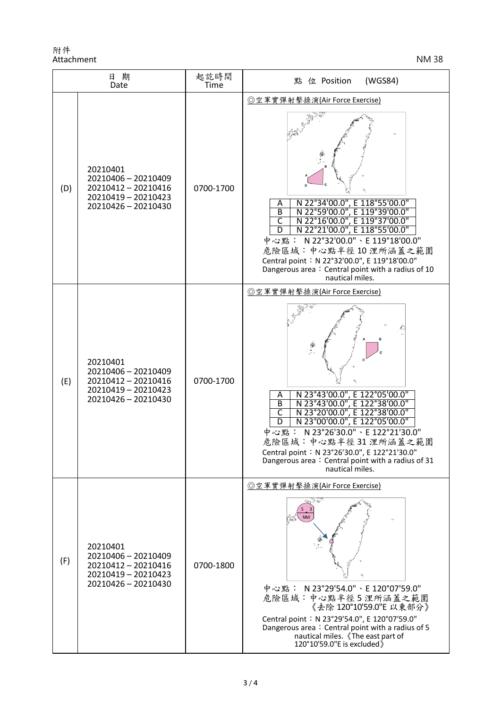附件 Attachment NM 38

| 日期<br>Date |                                                                                                      | 起訖時間<br>Time | 點 位 Position<br>(WGS84)                                                                                                                                                                                                                                                                                                                                                                                                 |
|------------|------------------------------------------------------------------------------------------------------|--------------|-------------------------------------------------------------------------------------------------------------------------------------------------------------------------------------------------------------------------------------------------------------------------------------------------------------------------------------------------------------------------------------------------------------------------|
| (D)        | 20210401<br>20210406 - 20210409<br>20210412 - 20210416<br>20210419 - 20210423<br>20210426 - 20210430 | 0700-1700    | ◎空軍實彈射擊操演(Air Force Exercise)<br>N 22°34'00.0", E 118°55'00.0"<br>A<br>$\overline{B}$<br>N 22°59'00.0", E 119°39'00.0"<br>$\overline{\mathsf{c}}$<br>N 22°16'00.0", E 119°37'00.0"<br>N 22°21'00.0", E 118°55'00.0"<br>D<br>中心點: N22°32'00.0"、E 119°18'00.0"<br>危險區域:中心點半徑10浬所涵蓋之範圍<br>Central point: N 22°32'00.0", E 119°18'00.0"<br>Dangerous area: Central point with a radius of 10<br>nautical miles.             |
| (E)        | 20210401<br>20210406 - 20210409<br>20210412 - 20210416<br>20210419 - 20210423<br>20210426 - 20210430 | 0700-1700    | ◎空軍實彈射擊操演(Air Force Exercise)<br>N 23°43'00.0", E 122°05'00.0"<br>A<br>N 23°43'00.0", E 122°38'00.0"<br>$\overline{B}$<br>$\overline{\mathsf{C}}$<br>N 23°20'00.0", E 122°38'00.0"<br>N 23°00'00.0", E 122°05'00.0"<br>$\overline{D}$<br>中心點: N23°26'30.0"、E122°21'30.0"<br>危險區域:中心點半徑31浬所涵蓋之範圍<br>Central point: N 23°26'30.0", E 122°21'30.0"<br>Dangerous area: Central point with a radius of 31<br>nautical miles. |
| (F)        | 20210401<br>20210406 - 20210409<br>20210412-20210416<br>20210419 - 20210423<br>20210426 - 20210430   | 0700-1800    | ◎空軍實彈射擊操演(Air Force Exercise)<br>中心點: N23°29'54.0"、E 120°07'59.0"<br>危險區域:中心點半徑5浬所涵蓋之範圍<br>《去除 120°10'59.0"E 以東部分》<br>Central point: N 23°29'54.0", E 120°07'59.0"<br>Dangerous area: Central point with a radius of 5<br>nautical miles. 《The east part of<br>120°10'59.0"E is excluded)                                                                                                                               |